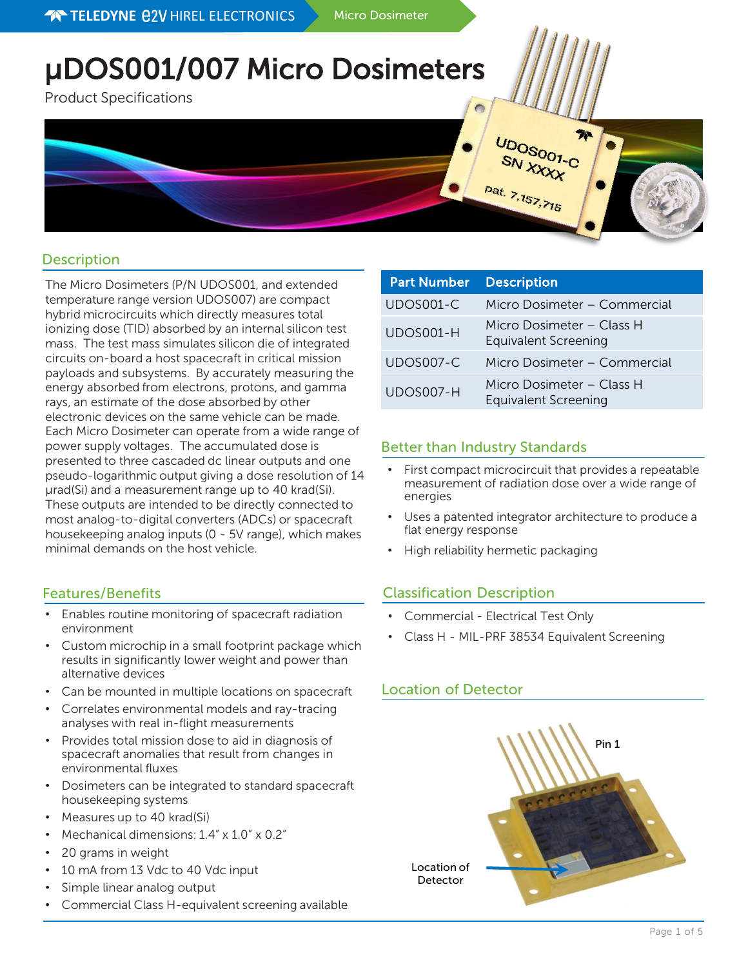# μDOS001/007 Micro Dosimeters

Product Specifications



# **Description**

The Micro Dosimeters (P/N UDOS001, and extended temperature range version UDOS007) are compact hybrid microcircuits which directly measures total ionizing dose (TID) absorbed by an internal silicon test mass. The test mass simulates silicon die of integrated circuits on-board a host spacecraft in critical mission payloads and subsystems. By accurately measuring the energy absorbed from electrons, protons, and gamma rays, an estimate of the dose absorbed by other electronic devices on the same vehicle can be made. Each Micro Dosimeter can operate from a wide range of power supply voltages. The accumulated dose is presented to three cascaded dc linear outputs and one pseudo-logarithmic output giving a dose resolution of 14 µrad(Si) and a measurement range up to 40 krad(Si). These outputs are intended to be directly connected to most analog-to-digital converters (ADCs) or spacecraft housekeeping analog inputs (0 - 5V range), which makes minimal demands on the host vehicle.

# Features/Benefits

- Enables routine monitoring of spacecraft radiation environment
- Custom microchip in a small footprint package which results in significantly lower weight and power than alternative devices
- Can be mounted in multiple locations on spacecraft
- Correlates environmental models and ray-tracing analyses with real in-flight measurements
- Provides total mission dose to aid in diagnosis of spacecraft anomalies that result from changes in environmental fluxes
- Dosimeters can be integrated to standard spacecraft housekeeping systems
- Measures up to 40 krad(Si)
- Mechanical dimensions: 1.4" x 1.0" x 0.2"
- 20 grams in weight
- 10 mA from 13 Vdc to 40 Vdc input
- Simple linear analog output
- Commercial Class H-equivalent screening available

| <b>Part Number</b> | <b>Description</b>                                       |
|--------------------|----------------------------------------------------------|
| UDOS001-C          | Micro Dosimeter - Commercial                             |
| UDOS001-H          | Micro Dosimeter – Class H<br><b>Equivalent Screening</b> |
| UDOS007-C          | Micro Dosimeter - Commercial                             |
| UDOS007-H          | Micro Dosimeter – Class H<br><b>Equivalent Screening</b> |

# Better than Industry Standards

- First compact microcircuit that provides a repeatable measurement of radiation dose over a wide range of energies
- Uses a patented integrator architecture to produce a flat energy response
- High reliability hermetic packaging

# Classification Description

- Commercial Electrical Test Only
- Class H MIL-PRF 38534 Equivalent Screening

# Location of Detector

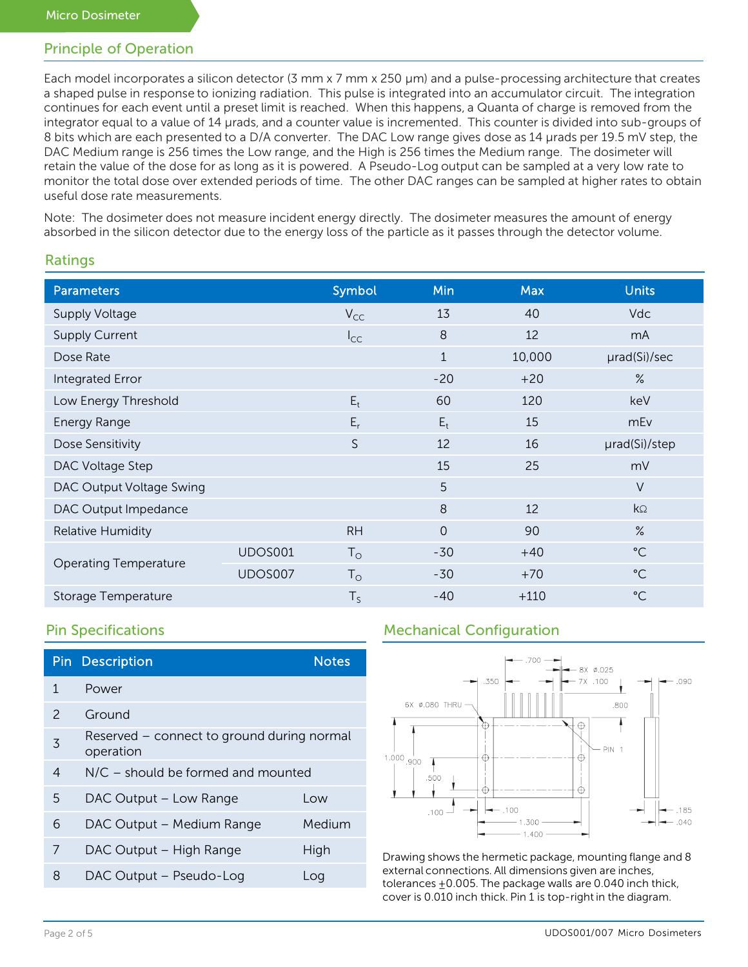# Principle of Operation

Each model incorporates a silicon detector (3 mm x 7 mm x 250 µm) and a pulse-processing architecture that creates a shaped pulse in response to ionizing radiation. This pulse is integrated into an accumulator circuit. The integration continues for each event until a preset limit is reached. When this happens, a Quanta of charge is removed from the integrator equal to a value of 14 µrads, and a counter value is incremented. This counter is divided into sub-groups of 8 bits which are each presented to a D/A converter. The DAC Low range gives dose as 14 µrads per 19.5 mV step, the DAC Medium range is 256 times the Low range, and the High is 256 times the Medium range. The dosimeter will retain the value of the dose for as long as it is powered. A Pseudo-Log output can be sampled at a very low rate to monitor the total dose over extended periods of time. The other DAC ranges can be sampled at higher rates to obtain useful dose rate measurements.

Note: The dosimeter does not measure incident energy directly. The dosimeter measures the amount of energy absorbed in the silicon detector due to the energy loss of the particle as it passes through the detector volume.

# Ratings

| <b>Parameters</b>            |                | Symbol      | Min          | <b>Max</b> | <b>Units</b>    |
|------------------------------|----------------|-------------|--------------|------------|-----------------|
| Supply Voltage               |                | $V_{CC}$    | 13           | 40         | <b>Vdc</b>      |
| <b>Supply Current</b>        |                | $I_{CC}$    | 8            | 12         | mA              |
| Dose Rate                    |                |             | $\mathbf{1}$ | 10,000     | urad(Si)/sec    |
| Integrated Error             |                |             | $-20$        | $+20$      | $\%$            |
| Low Energy Threshold         |                | $E_t$       | 60           | 120        | keV             |
| Energy Range                 |                | $E_r$       | $E_t$        | 15         | mEv             |
| Dose Sensitivity             |                | S           | 12           | 16         | µrad(Si)/step   |
| DAC Voltage Step             |                |             | 15           | 25         | mV              |
| DAC Output Voltage Swing     |                |             | 5            |            | $\vee$          |
| DAC Output Impedance         |                |             | 8            | 12         | $k\Omega$       |
| <b>Relative Humidity</b>     |                | <b>RH</b>   | $\Omega$     | 90         | $\%$            |
|                              | UDOS001        | $T_{\rm O}$ | $-30$        | $+40$      | $^{\circ}$ C    |
| <b>Operating Temperature</b> | <b>UDOS007</b> | $T_{\rm O}$ | $-30$        | $+70$      | $^{\circ}$ C    |
| Storage Temperature          |                | $T_S$       | $-40$        | $+110$     | $\rm ^{\circ}C$ |

|                | <b>Pin Description</b>                                  | <b>Notes</b> |
|----------------|---------------------------------------------------------|--------------|
| 1              | Power                                                   |              |
| $\mathcal{P}$  | Ground                                                  |              |
| 3              | Reserved – connect to ground during normal<br>operation |              |
| $\overline{4}$ | $N/C$ – should be formed and mounted                    |              |
| 5              | DAC Output - Low Range                                  | Low          |
| 6              | DAC Output - Medium Range                               | Medium       |
| 7              | DAC Output – High Range                                 | High         |
| 8              | DAC Output - Pseudo-Log                                 | Log          |

# Pin Specifications **Mechanical Configuration**



Drawing shows the hermetic package, mounting flange and 8 external connections. All dimensions given are inches, tolerances  $\pm 0.005$ . The package walls are 0.040 inch thick, cover is 0.010 inch thick. Pin 1 is top-right in the diagram.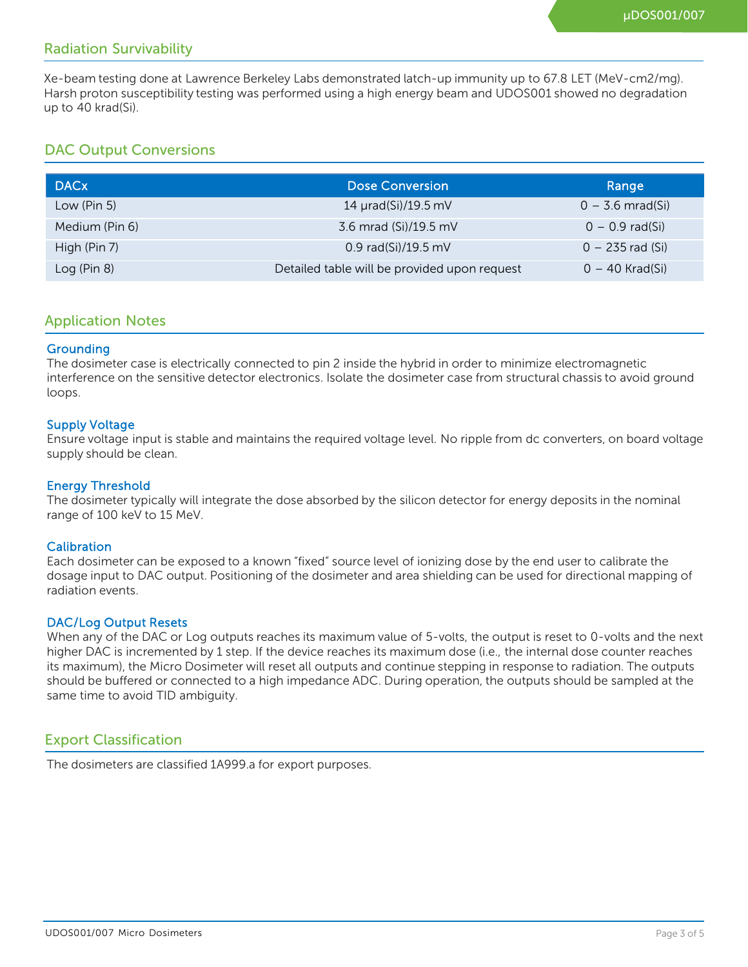# Radiation Survivability

Xe-beam testing done at Lawrence Berkeley Labs demonstrated latch-up immunity up to 67.8 LET (MeV-cm2/mg). Harsh proton susceptibility testing was performed using a high energy beam and UDOS001 showed no degradation up to 40 krad(Si).

# DAC Output Conversions

| <b>DACx</b>    | <b>Dose Conversion</b>                       | Range              |
|----------------|----------------------------------------------|--------------------|
| Low (Pin 5)    | 14 µrad(Si)/19.5 mV                          | $0 - 3.6$ mrad(Si) |
| Medium (Pin 6) | 3.6 mrad (Si)/19.5 mV                        | $0 - 0.9$ rad(Si)  |
| High (Pin 7)   | 0.9 rad(Si)/19.5 mV                          | $0 - 235$ rad (Si) |
| Log (Pin 8)    | Detailed table will be provided upon request | $0 - 40$ Krad(Si)  |

### Application Notes

#### **Grounding**

The dosimeter case is electrically connected to pin 2 inside the hybrid in order to minimize electromagnetic interference on the sensitive detector electronics. Isolate the dosimeter case from structural chassis to avoid ground loops.

#### Supply Voltage

Ensure voltage input is stable and maintains the required voltage level. No ripple from dc converters, on board voltage supply should be clean.

#### Energy Threshold

The dosimeter typically will integrate the dose absorbed by the silicon detector for energy deposits in the nominal range of 100 keV to 15 MeV.

#### **Calibration**

Each dosimeter can be exposed to a known "fixed" source level of ionizing dose by the end user to calibrate the dosage input to DAC output. Positioning of the dosimeter and area shielding can be used for directional mapping of radiation events.

#### DAC/Log Output Resets

When any of the DAC or Log outputs reaches its maximum value of 5-volts, the output is reset to 0-volts and the next higher DAC is incremented by 1 step. If the device reaches its maximum dose (i.e., the internal dose counter reaches its maximum), the Micro Dosimeter will reset all outputs and continue stepping in response to radiation. The outputs should be buffered or connected to a high impedance ADC. During operation, the outputs should be sampled at the same time to avoid TID ambiguity.

## Export Classification

The dosimeters are classified 1A999.a for export purposes.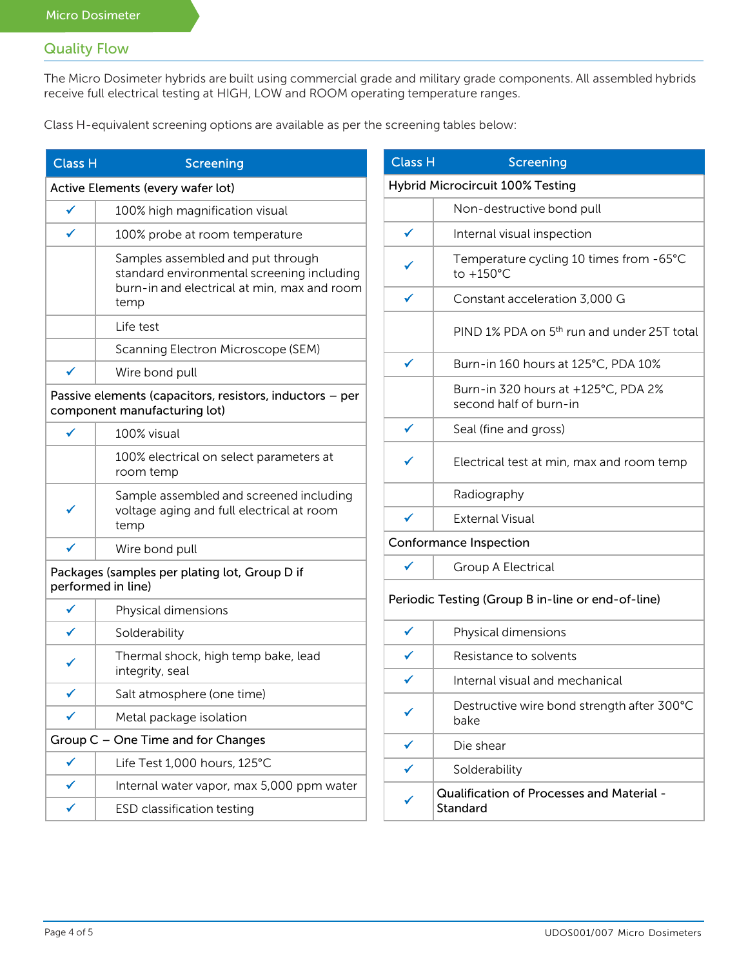# Quality Flow

The Micro Dosimeter hybrids are built using commercial grade and military grade components. All assembled hybrids receive full electrical testing at HIGH, LOW and ROOM operating temperature ranges.

Class H-equivalent screening options are available as per the screening tables below:

| <b>Class H</b> | Screening                                                                                                                              |
|----------------|----------------------------------------------------------------------------------------------------------------------------------------|
|                | Active Elements (every wafer lot)                                                                                                      |
| $\checkmark$   | 100% high magnification visual                                                                                                         |
| ✓              | 100% probe at room temperature                                                                                                         |
|                | Samples assembled and put through<br>standard environmental screening including<br>burn-in and electrical at min, max and room<br>temp |
|                | Life test                                                                                                                              |
|                | Scanning Electron Microscope (SEM)                                                                                                     |
| ✓              | Wire bond pull                                                                                                                         |
|                | Passive elements (capacitors, resistors, inductors - per<br>component manufacturing lot)                                               |
|                | 100% visual                                                                                                                            |
|                | 100% electrical on select parameters at<br>room temp                                                                                   |
| ✔              | Sample assembled and screened including<br>voltage aging and full electrical at room<br>temp                                           |
|                | Wire bond pull                                                                                                                         |
|                | Packages (samples per plating lot, Group D if<br>performed in line)                                                                    |
|                | Physical dimensions                                                                                                                    |
| ✔              | Solderability                                                                                                                          |
| ✔              | Thermal shock, high temp bake, lead<br>integrity, seal                                                                                 |
| ∕              | Salt atmosphere (one time)                                                                                                             |
| ✓              | Metal package isolation                                                                                                                |
|                | Group C - One Time and for Changes                                                                                                     |
|                | Life Test 1,000 hours, 125°C                                                                                                           |
|                | Internal water vapor, max 5,000 ppm water                                                                                              |
|                | ESD classification testing                                                                                                             |

| Class H      | <b>Screening</b>                                              |
|--------------|---------------------------------------------------------------|
|              | <b>Hybrid Microcircuit 100% Testing</b>                       |
|              | Non-destructive bond pull                                     |
| ✓            | Internal visual inspection                                    |
|              | Temperature cycling 10 times from -65°C<br>to +150°C          |
| ✓            | Constant acceleration 3,000 G                                 |
|              | PIND 1% PDA on 5 <sup>th</sup> run and under 25T total        |
| ✔            | Burn-in 160 hours at 125°C, PDA 10%                           |
|              | Burn-in 320 hours at +125°C, PDA 2%<br>second half of burn-in |
| $\checkmark$ | Seal (fine and gross)                                         |
|              | Electrical test at min, max and room temp                     |
|              | Radiography                                                   |
| ✓            | <b>External Visual</b>                                        |
|              | Conformance Inspection                                        |
|              | Group A Electrical                                            |
|              | Periodic Testing (Group B in-line or end-of-line)             |
| ✔            | Physical dimensions                                           |
|              | Resistance to solvents                                        |
|              | Internal visual and mechanical                                |
|              | Destructive wire bond strength after 300°C<br>bake            |
| ✔            | Die shear                                                     |
|              | Solderability                                                 |
|              | <b>Qualification of Processes and Material -</b><br>Standard  |